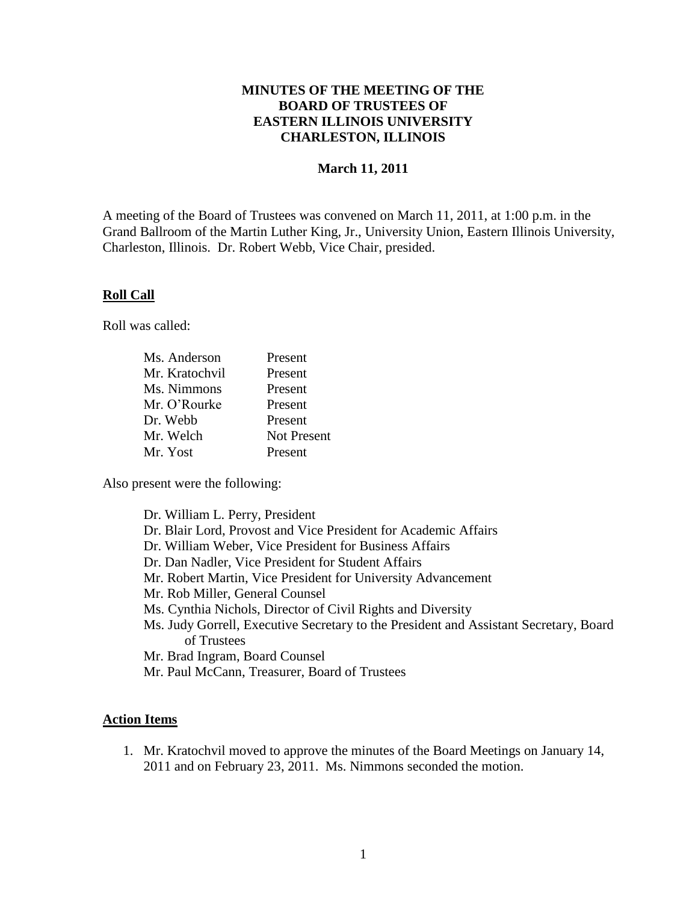# **MINUTES OF THE MEETING OF THE BOARD OF TRUSTEES OF EASTERN ILLINOIS UNIVERSITY CHARLESTON, ILLINOIS**

# **March 11, 2011**

A meeting of the Board of Trustees was convened on March 11, 2011, at 1:00 p.m. in the Grand Ballroom of the Martin Luther King, Jr., University Union, Eastern Illinois University, Charleston, Illinois. Dr. Robert Webb, Vice Chair, presided.

#### **Roll Call**

Roll was called:

| Ms. Anderson   | Present            |
|----------------|--------------------|
| Mr. Kratochvil | Present            |
| Ms. Nimmons    | Present            |
| Mr. O'Rourke   | Present            |
| Dr. Webb       | Present            |
| Mr. Welch      | <b>Not Present</b> |
| Mr. Yost       | Present            |

Also present were the following:

| Dr. William L. Perry, President                                                       |
|---------------------------------------------------------------------------------------|
| Dr. Blair Lord, Provost and Vice President for Academic Affairs                       |
| Dr. William Weber, Vice President for Business Affairs                                |
| Dr. Dan Nadler, Vice President for Student Affairs                                    |
| Mr. Robert Martin, Vice President for University Advancement                          |
| Mr. Rob Miller, General Counsel                                                       |
| Ms. Cynthia Nichols, Director of Civil Rights and Diversity                           |
| Ms. Judy Gorrell, Executive Secretary to the President and Assistant Secretary, Board |
| of Trustees                                                                           |
| Mr. Brad Ingram, Board Counsel                                                        |
| Mr. Paul McCann, Treasurer, Board of Trustees                                         |

#### **Action Items**

1. Mr. Kratochvil moved to approve the minutes of the Board Meetings on January 14, 2011 and on February 23, 2011. Ms. Nimmons seconded the motion.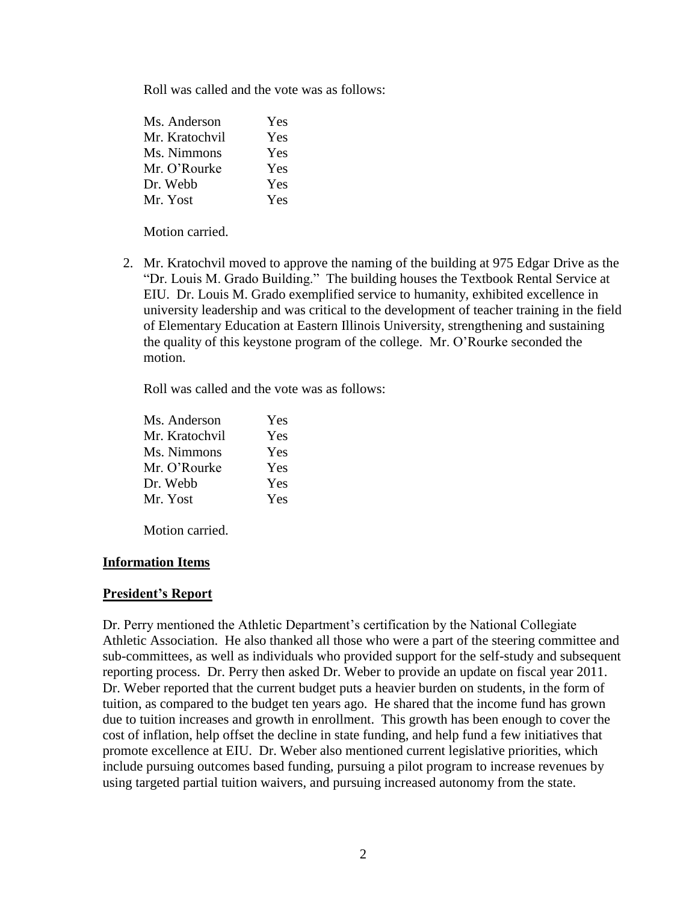Roll was called and the vote was as follows:

| Ms. Anderson   | Yes        |
|----------------|------------|
| Mr. Kratochvil | <b>Yes</b> |
| Ms. Nimmons    | <b>Yes</b> |
| Mr. O'Rourke   | <b>Yes</b> |
| Dr. Webb       | <b>Yes</b> |
| Mr. Yost       | <b>Yes</b> |

Motion carried.

2. Mr. Kratochvil moved to approve the naming of the building at 975 Edgar Drive as the "Dr. Louis M. Grado Building." The building houses the Textbook Rental Service at EIU. Dr. Louis M. Grado exemplified service to humanity, exhibited excellence in university leadership and was critical to the development of teacher training in the field of Elementary Education at Eastern Illinois University, strengthening and sustaining the quality of this keystone program of the college. Mr. O'Rourke seconded the motion.

Roll was called and the vote was as follows:

| Ms. Anderson   | Yes |
|----------------|-----|
| Mr. Kratochvil | Yes |
| Ms. Nimmons    | Yes |
| Mr. O'Rourke   | Yes |
| Dr. Webb       | Yes |
| Mr. Yost       | Yes |
|                |     |

Motion carried.

#### **Information Items**

#### **President's Report**

Dr. Perry mentioned the Athletic Department's certification by the National Collegiate Athletic Association. He also thanked all those who were a part of the steering committee and sub-committees, as well as individuals who provided support for the self-study and subsequent reporting process. Dr. Perry then asked Dr. Weber to provide an update on fiscal year 2011. Dr. Weber reported that the current budget puts a heavier burden on students, in the form of tuition, as compared to the budget ten years ago. He shared that the income fund has grown due to tuition increases and growth in enrollment. This growth has been enough to cover the cost of inflation, help offset the decline in state funding, and help fund a few initiatives that promote excellence at EIU. Dr. Weber also mentioned current legislative priorities, which include pursuing outcomes based funding, pursuing a pilot program to increase revenues by using targeted partial tuition waivers, and pursuing increased autonomy from the state.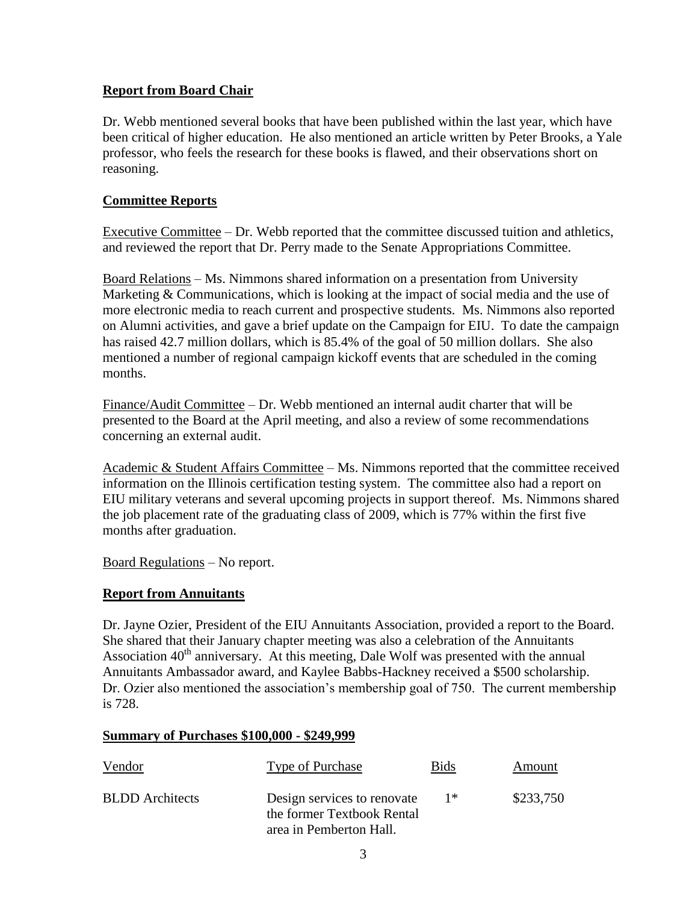# **Report from Board Chair**

Dr. Webb mentioned several books that have been published within the last year, which have been critical of higher education. He also mentioned an article written by Peter Brooks, a Yale professor, who feels the research for these books is flawed, and their observations short on reasoning.

## **Committee Reports**

Executive Committee – Dr. Webb reported that the committee discussed tuition and athletics, and reviewed the report that Dr. Perry made to the Senate Appropriations Committee.

Board Relations – Ms. Nimmons shared information on a presentation from University Marketing & Communications, which is looking at the impact of social media and the use of more electronic media to reach current and prospective students. Ms. Nimmons also reported on Alumni activities, and gave a brief update on the Campaign for EIU. To date the campaign has raised 42.7 million dollars, which is 85.4% of the goal of 50 million dollars. She also mentioned a number of regional campaign kickoff events that are scheduled in the coming months.

Finance/Audit Committee – Dr. Webb mentioned an internal audit charter that will be presented to the Board at the April meeting, and also a review of some recommendations concerning an external audit.

Academic & Student Affairs Committee – Ms. Nimmons reported that the committee received information on the Illinois certification testing system. The committee also had a report on EIU military veterans and several upcoming projects in support thereof. Ms. Nimmons shared the job placement rate of the graduating class of 2009, which is 77% within the first five months after graduation.

Board Regulations – No report.

# **Report from Annuitants**

Dr. Jayne Ozier, President of the EIU Annuitants Association, provided a report to the Board. She shared that their January chapter meeting was also a celebration of the Annuitants Association  $40<sup>th</sup>$  anniversary. At this meeting, Dale Wolf was presented with the annual Annuitants Ambassador award, and Kaylee Babbs-Hackney received a \$500 scholarship. Dr. Ozier also mentioned the association's membership goal of 750. The current membership is 728.

#### **Summary of Purchases \$100,000 - \$249,999**

| Vendor                 | Type of Purchase                                                                     | <b>Bids</b> | Amount    |
|------------------------|--------------------------------------------------------------------------------------|-------------|-----------|
| <b>BLDD</b> Architects | Design services to renovate<br>the former Textbook Rental<br>area in Pemberton Hall. | $1*$        | \$233,750 |